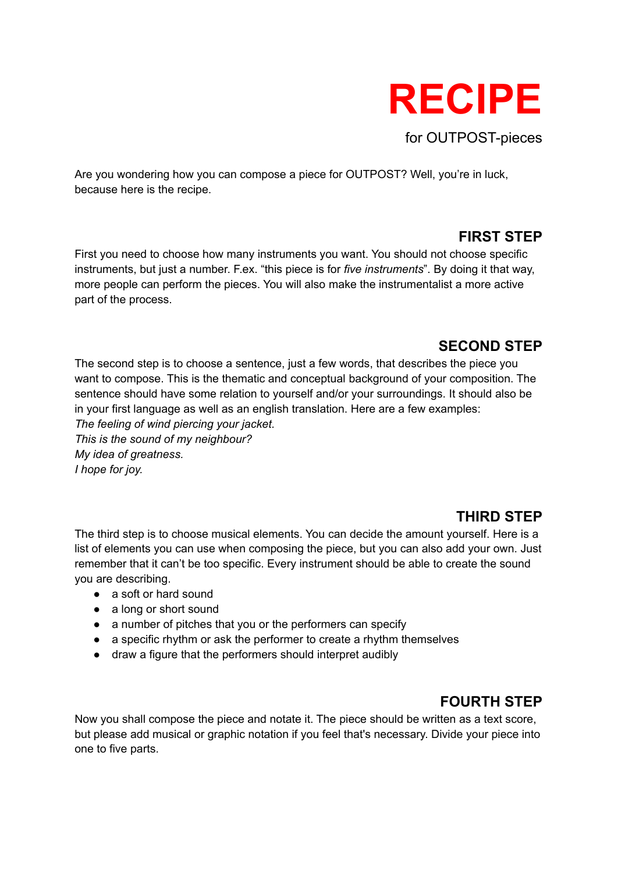

Are you wondering how you can compose a piece for OUTPOST? Well, you're in luck, because here is the recipe.

### **FIRST STEP**

First you need to choose how many instruments you want. You should not choose specific instruments, but just a number. F.ex. "this piece is for *five instruments*". By doing it that way, more people can perform the pieces. You will also make the instrumentalist a more active part of the process.

### **SECOND STEP**

The second step is to choose a sentence, just a few words, that describes the piece you want to compose. This is the thematic and conceptual background of your composition. The sentence should have some relation to yourself and/or your surroundings. It should also be in your first language as well as an english translation. Here are a few examples:

*The feeling of wind piercing your jacket. This is the sound of my neighbour? My idea of greatness. I hope for joy.*

# **THIRD STEP**

The third step is to choose musical elements. You can decide the amount yourself. Here is a list of elements you can use when composing the piece, but you can also add your own. Just remember that it can't be too specific. Every instrument should be able to create the sound you are describing.

- a soft or hard sound
- a long or short sound
- a number of pitches that you or the performers can specify
- a specific rhythm or ask the performer to create a rhythm themselves
- draw a figure that the performers should interpret audibly

## **FOURTH STEP**

Now you shall compose the piece and notate it. The piece should be written as a text score, but please add musical or graphic notation if you feel that's necessary. Divide your piece into one to five parts.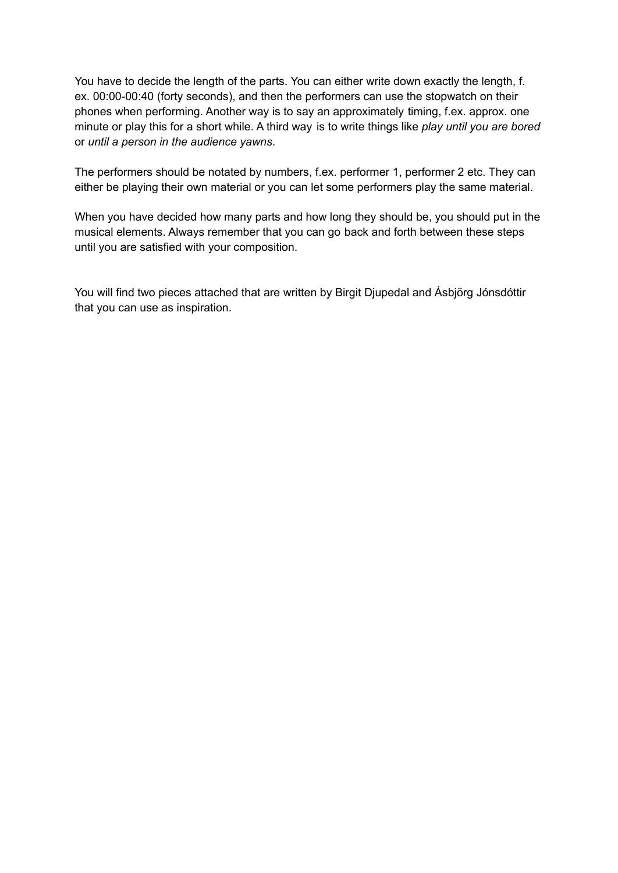You have to decide the length of the parts. You can either write down exactly the length, f. ex. 00:00-00:40 (forty seconds), and then the performers can use the stopwatch on their phones when performing. Another way is to say an approximately timing, f.ex. approx. one minute or play this for a short while. A third way is to write things like *play until you are bored* or *until a person in the audience yawns*.

The performers should be notated by numbers, f.ex. performer 1, performer 2 etc. They can either be playing their own material or you can let some performers play the same material.

When you have decided how many parts and how long they should be, you should put in the musical elements. Always remember that you can go back and forth between these steps until you are satisfied with your composition.

You will find two pieces attached that are written by Birgit Djupedal and Ásbjörg Jónsdóttir that you can use as inspiration.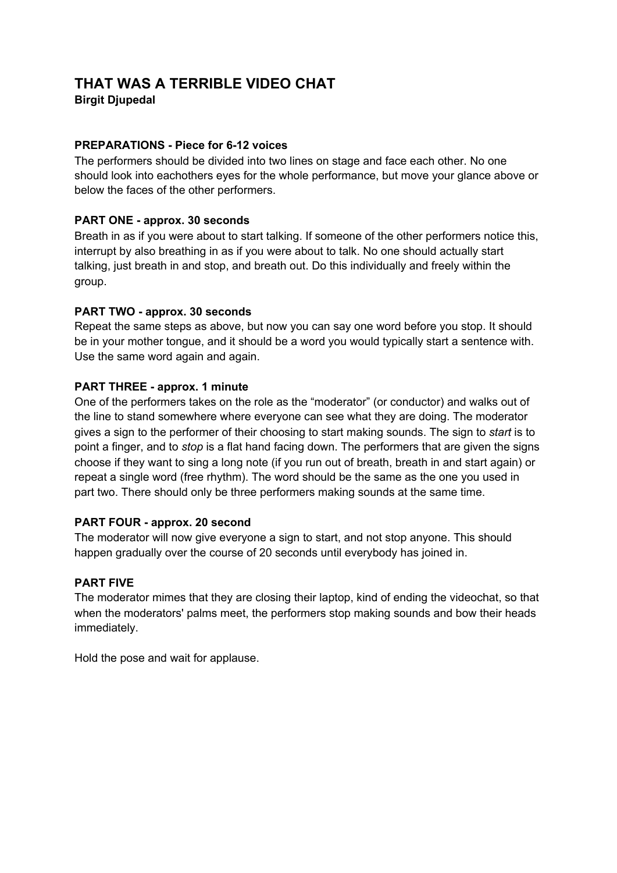## **THAT WAS A TERRIBLE VIDEO CHAT**

**Birgit Djupedal**

#### **PREPARATIONS - Piece for 6-12 voices**

The performers should be divided into two lines on stage and face each other. No one should look into eachothers eyes for the whole performance, but move your glance above or below the faces of the other performers.

#### **PART ONE - approx. 30 seconds**

Breath in as if you were about to start talking. If someone of the other performers notice this, interrupt by also breathing in as if you were about to talk. No one should actually start talking, just breath in and stop, and breath out. Do this individually and freely within the group.

#### **PART TWO - approx. 30 seconds**

Repeat the same steps as above, but now you can say one word before you stop. It should be in your mother tongue, and it should be a word you would typically start a sentence with. Use the same word again and again.

#### **PART THREE - approx. 1 minute**

One of the performers takes on the role as the "moderator" (or conductor) and walks out of the line to stand somewhere where everyone can see what they are doing. The moderator gives a sign to the performer of their choosing to start making sounds. The sign to *start* is to point a finger, and to *stop* is a flat hand facing down. The performers that are given the signs choose if they want to sing a long note (if you run out of breath, breath in and start again) or repeat a single word (free rhythm). The word should be the same as the one you used in part two. There should only be three performers making sounds at the same time.

#### **PART FOUR - approx. 20 second**

The moderator will now give everyone a sign to start, and not stop anyone. This should happen gradually over the course of 20 seconds until everybody has joined in.

#### **PART FIVE**

The moderator mimes that they are closing their laptop, kind of ending the videochat, so that when the moderators' palms meet, the performers stop making sounds and bow their heads immediately.

Hold the pose and wait for applause.